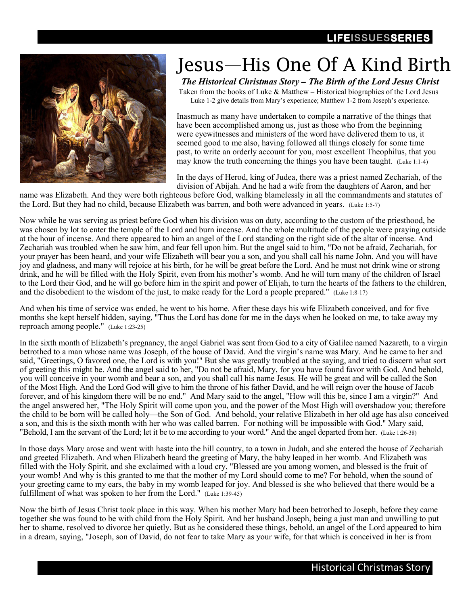## LIFEISSUESSERIES



## Jesus—His One Of A Kind Birth

The Historical Christmas Story *–* The Birth of the Lord Jesus Christ

 Taken from the books of Luke & Matthew – Historical biographies of the Lord Jesus Luke 1-2 give details from Mary's experience; Matthew 1-2 from Joseph's experience.

Inasmuch as many have undertaken to compile a narrative of the things that have been accomplished among us, just as those who from the beginning were eyewitnesses and ministers of the word have delivered them to us, it seemed good to me also, having followed all things closely for some time past, to write an orderly account for you, most excellent Theophilus, that you may know the truth concerning the things you have been taught. (Luke 1:1-4)

In the days of Herod, king of Judea, there was a priest named Zechariah, of the division of Abijah. And he had a wife from the daughters of Aaron, and her

name was Elizabeth. And they were both righteous before God, walking blamelessly in all the commandments and statutes of the Lord. But they had no child, because Elizabeth was barren, and both were advanced in years. (Luke 1:5-7)

Now while he was serving as priest before God when his division was on duty, according to the custom of the priesthood, he was chosen by lot to enter the temple of the Lord and burn incense. And the whole multitude of the people were praying outside at the hour of incense. And there appeared to him an angel of the Lord standing on the right side of the altar of incense. And Zechariah was troubled when he saw him, and fear fell upon him. But the angel said to him, "Do not be afraid, Zechariah, for your prayer has been heard, and your wife Elizabeth will bear you a son, and you shall call his name John. And you will have joy and gladness, and many will rejoice at his birth, for he will be great before the Lord. And he must not drink wine or strong drink, and he will be filled with the Holy Spirit, even from his mother's womb. And he will turn many of the children of Israel to the Lord their God, and he will go before him in the spirit and power of Elijah, to turn the hearts of the fathers to the children, and the disobedient to the wisdom of the just, to make ready for the Lord a people prepared." (Luke 1:8-17)

And when his time of service was ended, he went to his home. After these days his wife Elizabeth conceived, and for five months she kept herself hidden, saying, "Thus the Lord has done for me in the days when he looked on me, to take away my reproach among people." (Luke 1:23-25)

In the sixth month of Elizabeth's pregnancy, the angel Gabriel was sent from God to a city of Galilee named Nazareth, to a virgin betrothed to a man whose name was Joseph, of the house of David. And the virgin's name was Mary. And he came to her and said, "Greetings, O favored one, the Lord is with you!" But she was greatly troubled at the saying, and tried to discern what sort of greeting this might be. And the angel said to her, "Do not be afraid, Mary, for you have found favor with God. And behold, you will conceive in your womb and bear a son, and you shall call his name Jesus. He will be great and will be called the Son of the Most High. And the Lord God will give to him the throne of his father David, and he will reign over the house of Jacob forever, and of his kingdom there will be no end." And Mary said to the angel, "How will this be, since I am a virgin?" And the angel answered her, "The Holy Spirit will come upon you, and the power of the Most High will overshadow you; therefore the child to be born will be called holy—the Son of God. And behold, your relative Elizabeth in her old age has also conceived a son, and this is the sixth month with her who was called barren. For nothing will be impossible with God." Mary said, "Behold, I am the servant of the Lord; let it be to me according to your word." And the angel departed from her. (Luke 1:26-38)

In those days Mary arose and went with haste into the hill country, to a town in Judah, and she entered the house of Zechariah and greeted Elizabeth. And when Elizabeth heard the greeting of Mary, the baby leaped in her womb. And Elizabeth was filled with the Holy Spirit, and she exclaimed with a loud cry, "Blessed are you among women, and blessed is the fruit of your womb! And why is this granted to me that the mother of my Lord should come to me? For behold, when the sound of your greeting came to my ears, the baby in my womb leaped for joy. And blessed is she who believed that there would be a fulfillment of what was spoken to her from the Lord." (Luke 1:39-45)

Now the birth of Jesus Christ took place in this way. When his mother Mary had been betrothed to Joseph, before they came together she was found to be with child from the Holy Spirit. And her husband Joseph, being a just man and unwilling to put her to shame, resolved to divorce her quietly. But as he considered these things, behold, an angel of the Lord appeared to him in a dream, saying, "Joseph, son of David, do not fear to take Mary as your wife, for that which is conceived in her is from